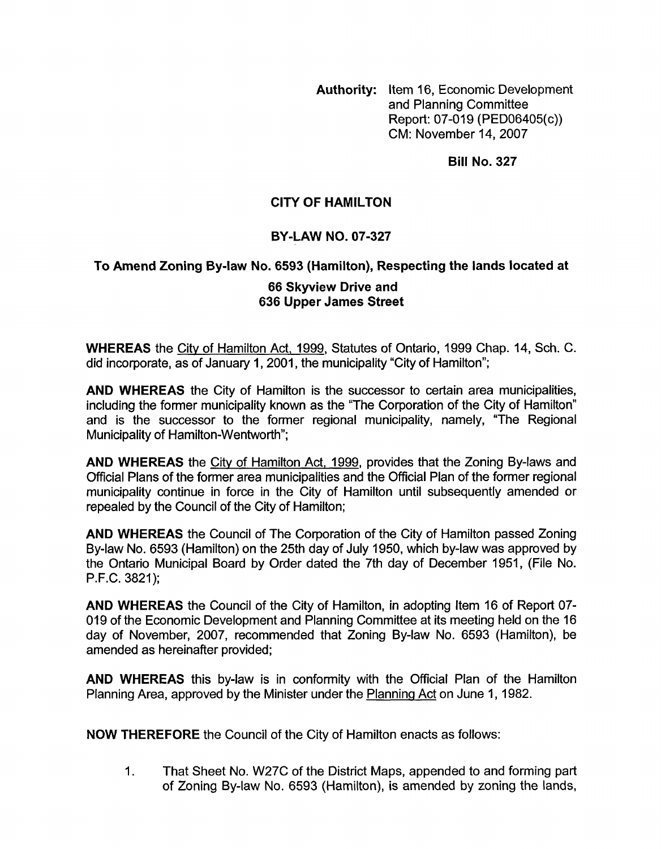**Authority:** Item 16, Economic Development and Planning Committee Report: 07-019 (PED06405(c)) CM: November 14,2007

**Bill No. 327** 

# **CITY OF HAMILTON**

## **BY-LAW NO. 07-327**

### **To Amend Zoning By-law No. 6593 (Hamilton), Respecting the lands located at**

### **66 Skyview Drive and 636 Upper James Street**

**WHEREAS** the City of Hamilton Act, 1999, Statutes of Ontario, 1999 Chap. 14, Sch. C. did incorporate, as of January 1, 2001, the municipality "City of Hamilton":

**AND WHEREAS** the City of Hamilton is the successor to certain area municipalities, including the former municipality known as the "The Corporation of the City of Hamilton'' and is the successor to the former regional municipality, namely, "The Regional Municipality of Hamilton-Wentworth";

**AND WHEREAS** the City of Hamilton Act, 1999, provides that the Zoning By-laws and Official Plans of the former area municipalities and the Official Plan of the former regional municipality continue in force in the City of Hamilton until subsequently amended or repealed by the Council of the City of Hamilton;

**AND WHEREAS** the Council of The Corporation of the City of Hamilton passed Zoning By-law No. 6593 (Hamilton) on the 25th day of July 1950, which by-law was approved by the Ontario Municipal Board by Order dated the 7th day of December 1951, (File No. P.F.C. 3821);

**AND WHEREAS** the Council of the City of Hamilton, in adopting Item 16 of Report 07- 019 of the Economic Development and Planning Committee at its meeting held on the 16 day of November, 2007, recommended that Zoning By-law No. 6593 (Hamilton), be amended as hereinafter provided;

**AND WHEREAS** this by-law is in conformity with the Official Plan of the Hamilton Planning Area, approved by the Minister under the Planning Act on June 1, 1982.

**NOW THEREFORE** the Council of the City of Hamilton enacts as follows:

1. That Sheet No. W27C of the District Maps, appended to and forming part of Zoning By-law No. 6593 (Hamilton), is amended by zoning the lands,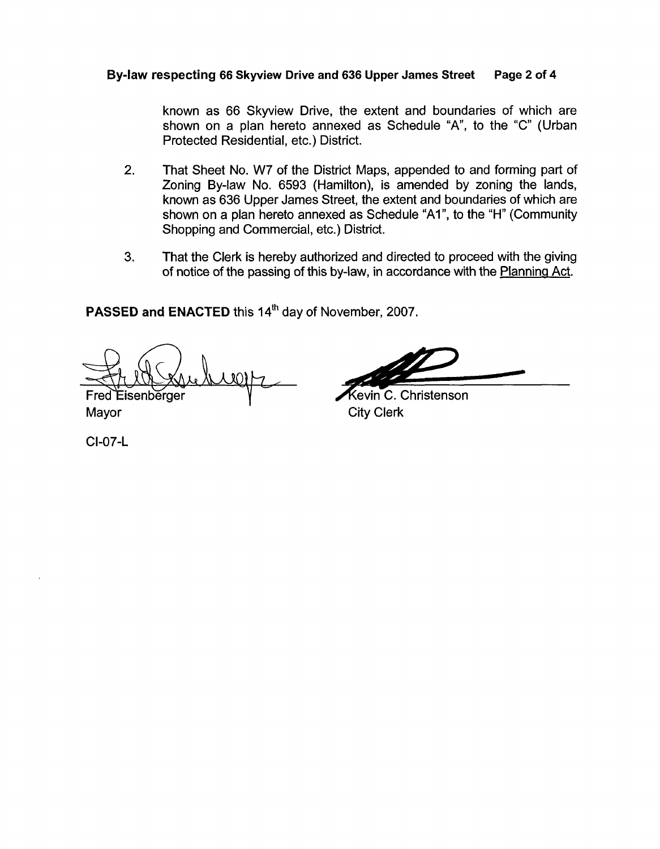### **Bylaw respecting 66 Skyview Drive and 636 Upper James Street Page 2 of 4**

known as 66 Skyview Drive, the extent and boundaries of which are shown on a plan hereto annexed as Schedule "A", to the "C" (Urban Protected Residential, etc.) District.

- 2. That Sheet No. W7 of the District Maps, appended to and forming part of Zoning By-law No. 6593 (Hamilton), is amended by zoning the lands, known as 636 Upper James Street, the extent and boundaries of which are shown on a plan hereto annexed as Schedule "Al", to the "H" (Community Shopping and Commercial, etc.) District.
- 3. That the Clerk is hereby authorized and directed to proceed with the giving of notice of the passing of this by-law, in accordance with the Planning Act.

**PASSED and ENACTED** this **14'h** day of November, 2007.

Fred Eisenberger

evin C. Christenson Mayor City Clerk

CI-07-L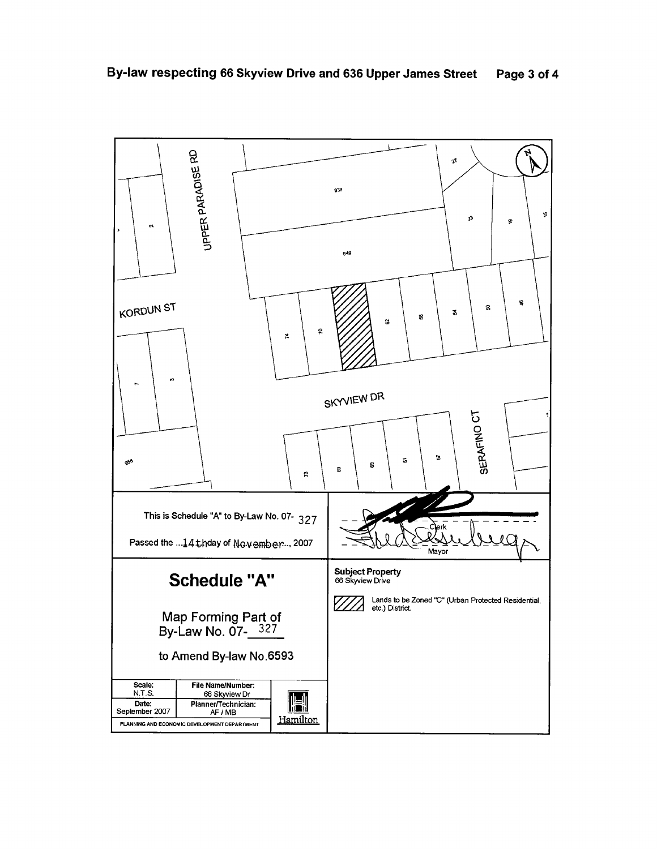